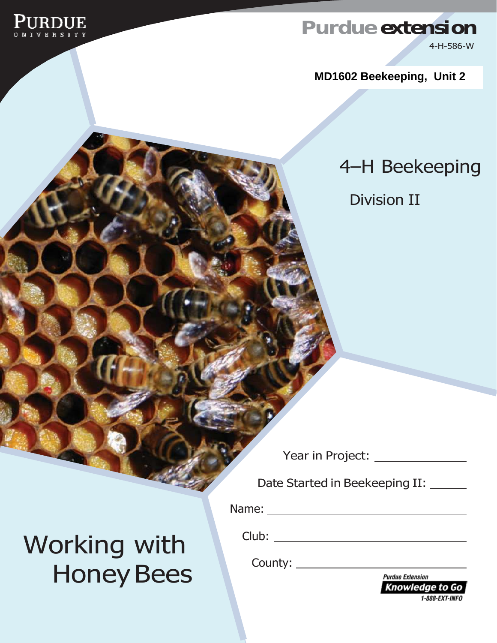

**MD1602 Beekeeping, Unit 2** 

## 4–H Beekeeping

Division II

Working with **Honey Bees**  Year in Project:

Date Started in Beekeeping II:

Name: Name:

Club: **Club:** The contract of the contract of the contract of the contract of the contract of the contract of the contract of the contract of the contract of the contract of the contract of the contract of the contract of

County:

**Purdue Extension Knowledge to Go** 1-888-EXT-INFO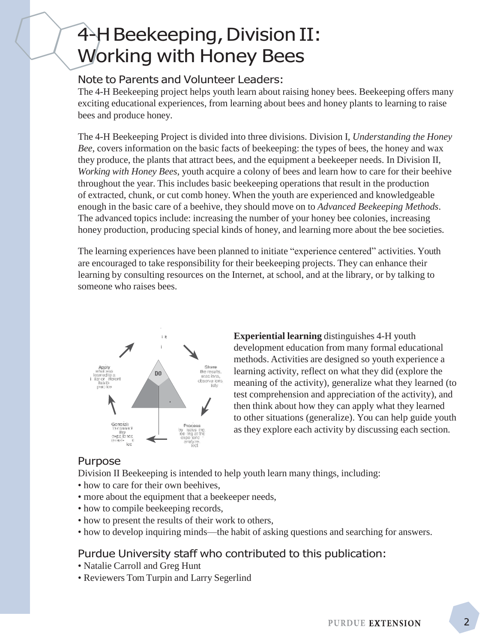## 4-H Beekeeping, Division II: Working with Honey Bees

### Note to Parents and Volunteer Leaders:

The 4-H Beekeeping project helps youth learn about raising honey bees. Beekeeping offers many exciting educational experiences, from learning about bees and honey plants to learning to raise bees and produce honey.

The 4-H Beekeeping Project is divided into three divisions. Division I*, Understanding the Honey Bee*, covers information on the basic facts of beekeeping: the types of bees, the honey and wax they produce, the plants that attract bees, and the equipment a beekeeper needs. In Division II*, Working with Honey Bees*, youth acquire a colony of bees and learn how to care for their beehive throughout the year. This includes basic beekeeping operations that result in the production of extracted, chunk, or cut comb honey. When the youth are experienced and knowledgeable enough in the basic care of a beehive, they should move on to *Advanced Beekeeping Methods*. The advanced topics include: increasing the number of your honey bee colonies, increasing honey production, producing special kinds of honey, and learning more about the bee societies.

The learning experiences have been planned to initiate "experience centered" activities. Youth are encouraged to take responsibility for their beekeeping projects. They can enhance their learning by consulting resources on the Internet, at school, and at the library, or by talking to someone who raises bees.



**Experiential learning** distinguishes 4-H youth development education from many formal educational methods. Activities are designed so youth experience a learning activity, reflect on what they did (explore the meaning of the activity), generalize what they learned (to test comprehension and appreciation of the activity), and then think about how they can apply what they learned to other situations (generalize). You can help guide youth as they explore each activity by discussing each section.

## Purpose

Division II Beekeeping is intended to help youth learn many things, including:

- how to care for their own beehives,
- more about the equipment that a beekeeper needs,
- how to compile beekeeping records,
- how to present the results of their work to others,
- how to develop inquiring minds—the habit of asking questions and searching for answers.

## Purdue University staff who contributed to this publication:

- Natalie Carroll and Greg Hunt
- Reviewers Tom Turpin and Larry Segerlind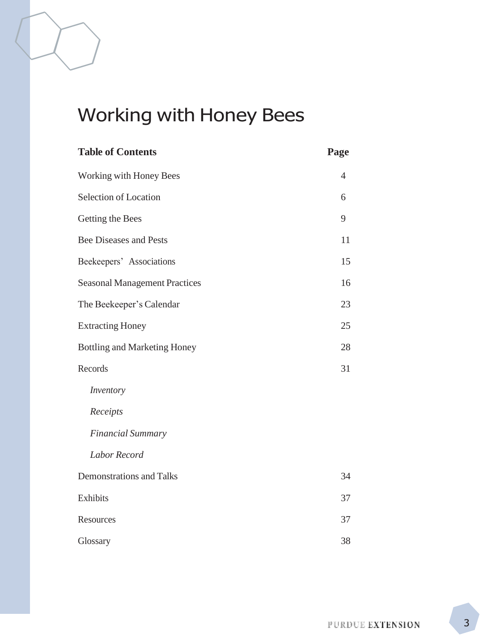## <span id="page-2-0"></span>Working with Honey Bees

| <b>Table of Contents</b>             | Page           |
|--------------------------------------|----------------|
| Working with Honey Bees              | $\overline{4}$ |
| Selection of Location                | 6              |
| Getting the Bees                     | 9              |
| <b>Bee Diseases and Pests</b>        | 11             |
| Beekeepers' Associations             | 15             |
| <b>Seasonal Management Practices</b> | 16             |
| The Beekeeper's Calendar             | 23             |
| <b>Extracting Honey</b>              | 25             |
| <b>Bottling and Marketing Honey</b>  | 28             |
| Records                              | 31             |
| Inventory                            |                |
| Receipts                             |                |
| <b>Financial Summary</b>             |                |
| Labor Record                         |                |
| <b>Demonstrations and Talks</b>      | 34             |
| Exhibits                             | 37             |
| Resources                            | 37             |
| Glossary                             | 38             |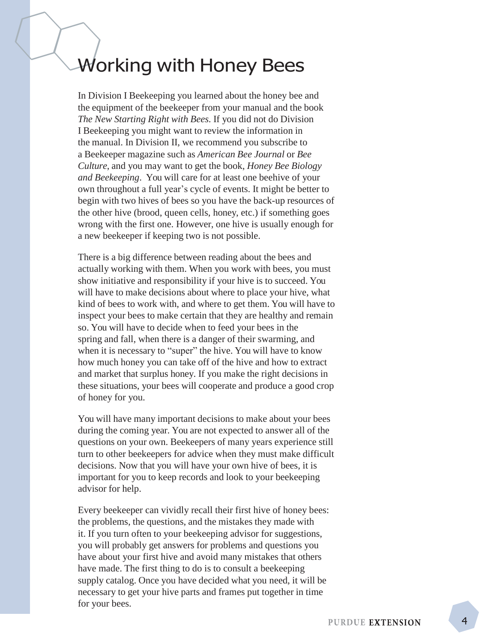## Working with Honey Bees

In Division I Beekeeping you learned about the honey bee and the equipment of the beekeeper from your manual and the book *The New Starting Right with Bees*. If you did not do Division I Beekeeping you might want to review the information in the manual. In Division II, we recommend you subscribe to a Beekeeper magazine such as *American Bee Journal* or *Bee Culture*, and you may want to get the book, *Honey Bee Biology and Beekeeping*. You will care for at least one beehive of your own throughout a full year's cycle of events. It might be better to begin with two hives of bees so you have the back-up resources of the other hive (brood, queen cells, honey, etc.) if something goes wrong with the first one. However, one hive is usually enough for a new beekeeper if keeping two is not possible.

There is a big difference between reading about the bees and actually working with them. When you work with bees, you must show initiative and responsibility if your hive is to succeed. You will have to make decisions about where to place your hive, what kind of bees to work with, and where to get them. You will have to inspect your bees to make certain that they are healthy and remain so. You will have to decide when to feed your bees in the spring and fall, when there is a danger of their swarming, and when it is necessary to "super" the hive. You will have to know how much honey you can take off of the hive and how to extract and market that surplus honey. If you make the right decisions in these situations, your bees will cooperate and produce a good crop of honey for you.

You will have many important decisions to make about your bees during the coming year. You are not expected to answer all of the questions on your own. Beekeepers of many years experience still turn to other beekeepers for advice when they must make difficult decisions. Now that you will have your own hive of bees, it is important for you to keep records and look to your beekeeping advisor for help.

Every beekeeper can vividly recall their first hive of honey bees: the problems, the questions, and the mistakes they made with it. If you turn often to your beekeeping advisor for suggestions, you will probably get answers for problems and questions you have about your first hive and avoid many mistakes that others have made. The first thing to do is to consult a beekeeping supply catalog. Once you have decided what you need, it will be necessary to get your hive parts and frames put together in time for your bees.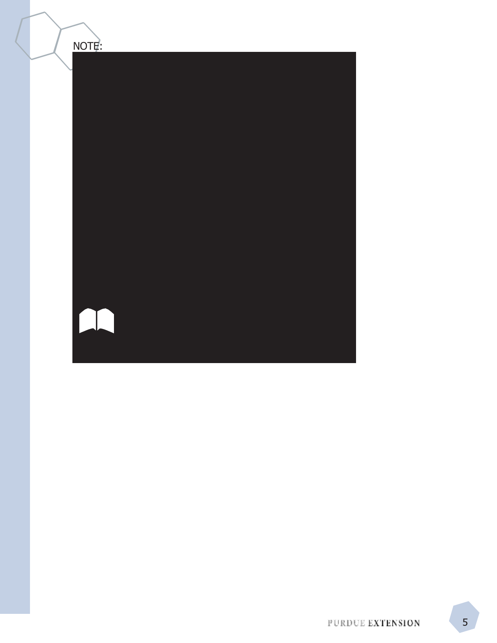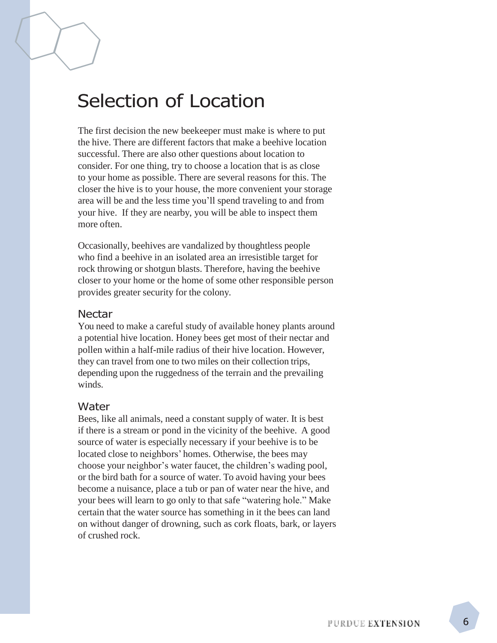## <span id="page-5-0"></span>Selection of Location

The first decision the new beekeeper must make is where to put the hive. There are different factors that make a beehive location successful. There are also other questions about location to consider. For one thing, try to choose a location that is as close to your home as possible. There are several reasons for this. The closer the hive is to your house, the more convenient your storage area will be and the less time you'll spend traveling to and from your hive. If they are nearby, you will be able to inspect them more often.

Occasionally, beehives are vandalized by thoughtless people who find a beehive in an isolated area an irresistible target for rock throwing or shotgun blasts. Therefore, having the beehive closer to your home or the home of some other responsible person provides greater security for the colony.

#### **Nectar**

You need to make a careful study of available honey plants around a potential hive location. Honey bees get most of their nectar and pollen within a half-mile radius of their hive location. However, they can travel from one to two miles on their collection trips, depending upon the ruggedness of the terrain and the prevailing winds.

#### Water

Bees, like all animals, need a constant supply of water. It is best if there is a stream or pond in the vicinity of the beehive. A good source of water is especially necessary if your beehive is to be located close to neighbors' homes. Otherwise, the bees may choose your neighbor's water faucet, the children's wading pool, or the bird bath for a source of water. To avoid having your bees become a nuisance, place a tub or pan of water near the hive, and your bees will learn to go only to that safe "watering hole." Make certain that the water source has something in it the bees can land on without danger of drowning, such as cork floats, bark, or layers of crushed rock.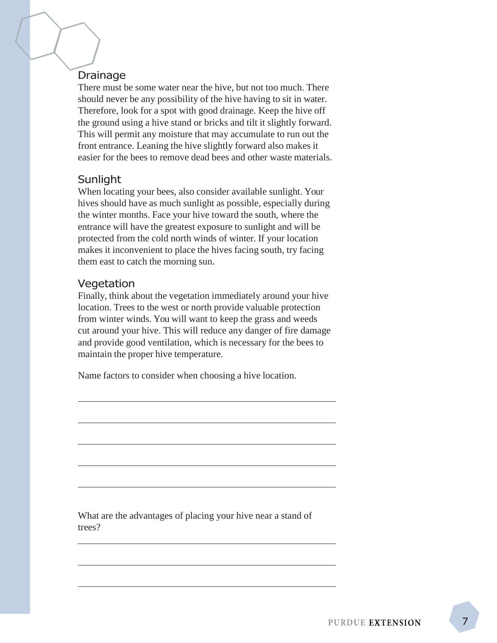### Drainage

There must be some water near the hive, but not too much. There should never be any possibility of the hive having to sit in water. Therefore, look for a spot with good drainage. Keep the hive off the ground using a hive stand or bricks and tilt it slightly forward. This will permit any moisture that may accumulate to run out the front entrance. Leaning the hive slightly forward also makes it easier for the bees to remove dead bees and other waste materials.

### **Sunlight**

When locating your bees, also consider available sunlight. Your hives should have as much sunlight as possible, especially during the winter months. Face your hive toward the south, where the entrance will have the greatest exposure to sunlight and will be protected from the cold north winds of winter. If your location makes it inconvenient to place the hives facing south, try facing them east to catch the morning sun.

#### Vegetation

Finally, think about the vegetation immediately around your hive location. Trees to the west or north provide valuable protection from winter winds. You will want to keep the grass and weeds cut around your hive. This will reduce any danger of fire damage and provide good ventilation, which is necessary for the bees to maintain the proper hive temperature.

Name factors to consider when choosing a hive location.

What are the advantages of placing your hive near a stand of trees?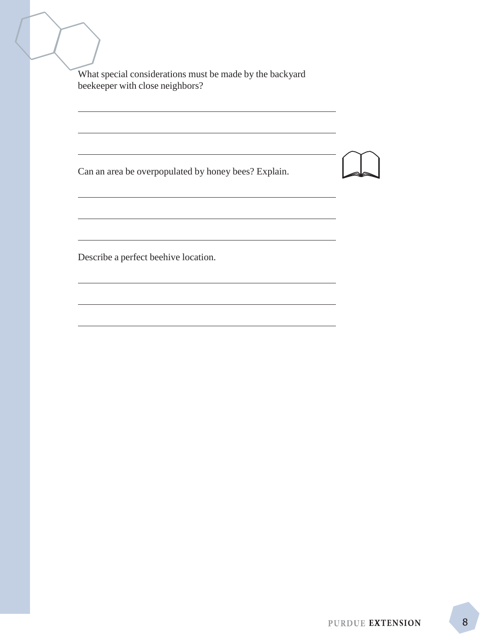What special considerations must be made by the backyard beekeeper with close neighbors?

Can an area be overpopulated by honey bees? Explain.

Describe a perfect beehive location.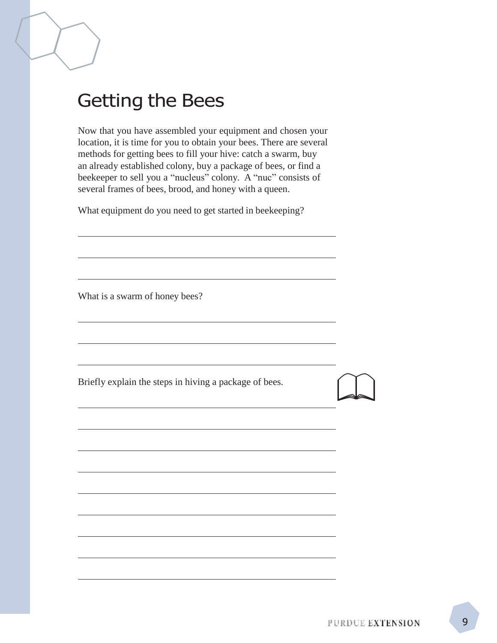<span id="page-8-0"></span>

Now that you have assembled your equipment and chosen your location, it is time for you to obtain your bees. There are several methods for getting bees to fill your hive: catch a swarm, buy an already established colony, buy a package of bees, or find a beekeeper to sell you a "nucleus" colony. A "nuc" consists of several frames of bees, brood, and honey with a queen.

What equipment do you need to get started in beekeeping?

What is a swarm of honey bees?

Briefly explain the steps in hiving a package of bees.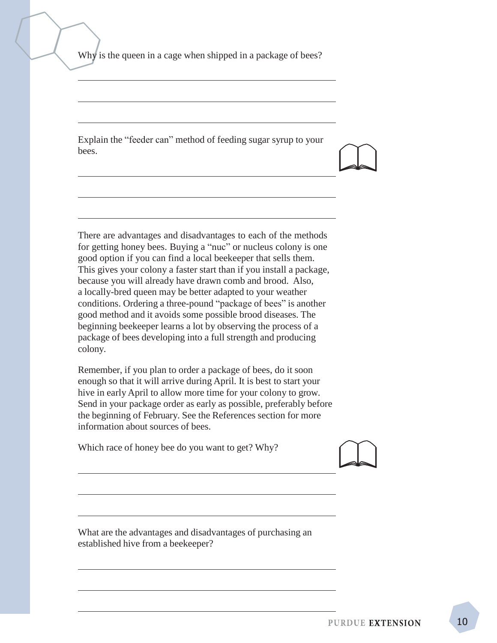Why is the queen in a cage when shipped in a package of bees?

Explain the "feeder can" method of feeding sugar syrup to your bees.

There are advantages and disadvantages to each of the methods for getting honey bees. Buying a "nuc" or nucleus colony is one good option if you can find a local beekeeper that sells them. This gives your colony a faster start than if you install a package, because you will already have drawn comb and brood. Also, a locally-bred queen may be better adapted to your weather conditions. Ordering a three-pound "package of bees" is another good method and it avoids some possible brood diseases. The beginning beekeeper learns a lot by observing the process of a package of bees developing into a full strength and producing colony.

Remember, if you plan to order a package of bees, do it soon enough so that it will arrive during April. It is best to start your hive in early April to allow more time for your colony to grow. Send in your package order as early as possible, preferably before the beginning of February. See the References section for more information about sources of bees.

Which race of honey bee do you want to get? Why?



What are the advantages and disadvantages of purchasing an established hive from a beekeeper?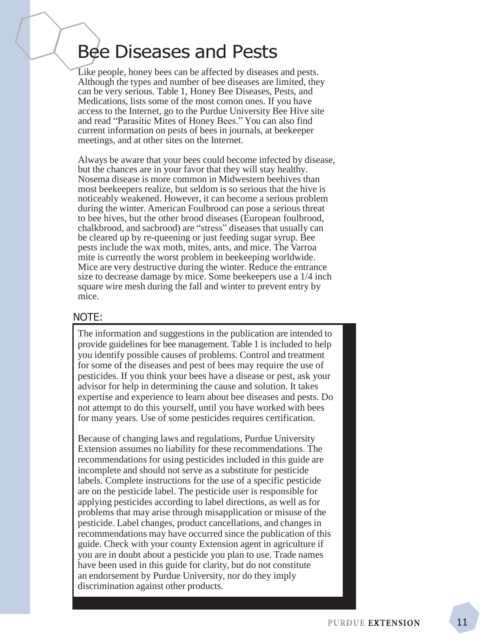## <span id="page-10-0"></span>Bee Diseases and Pests

Like people, honey bees can be affected by diseases and pests. Although the types and number of bee diseases are limited, they can be very serious. Table 1, Honey Bee Diseases, Pests, and Medications, lists some of the most comon ones. If you have access to the Internet, go to the Purdue University Bee Hive site and read "Parasitic Mites of Honey Bees." You can also find current information on pests of bees in journals, at beekeeper meetings, and at other sites on the Internet.

Always be aware that your bees could become infected by disease, but the chances are in your favor that they will stay healthy. Nosema disease is more common in Midwestern beehives than most beekeepers realize, but seldom is so serious that the hive is noticeably weakened. However, it can become a serious problem during the winter. American Foulbrood can pose a serious threat to bee hives, but the other brood diseases (European foulbrood, chalkbrood, and sacbrood) are "stress" diseases that usually can be cleared up by re-queening or just feeding sugar syrup. Bee pests include the wax moth, mites, ants, and mice. The Varroa mite is currently the worst problem in beekeeping worldwide. Mice are very destructive during the winter. Reduce the entrance size to decrease damage by mice. Some beekeepers use a 1/4 inch square wire mesh during the fall and winter to prevent entry by mice.

#### NOTE:

The information and suggestions in the publication are intended to provide guidelines for bee management. Table 1 is included to help you identify possible causes of problems. Control and treatment for some of the diseases and pest of bees may require the use of pesticides. If you think your bees have a disease or pest, ask your advisor for help in determining the cause and solution. It takes expertise and experience to learn about bee diseases and pests. Do not attempt to do this yourself, until you have worked with bees for many years. Use of some pesticides requires certification.

Because of changing laws and regulations, Purdue University Extension assumes no liability for these recommendations. The recommendations for using pesticides included in this guide are incomplete and should not serve as a substitute for pesticide labels. Complete instructions for the use of a specific pesticide are on the pesticide label. The pesticide user is responsible for applying pesticides according to label directions, as well as for problems that may arise through misapplication or misuse of the pesticide. Label changes, product cancellations, and changes in recommendations may have occurred since the publication of this guide. Check with your county Extension agent in agriculture if you are in doubt about a pesticide you plan to use. Trade names have been used in this guide for clarity, but do not constitute an endorsement by Purdue University, nor do they imply discrimination against other products.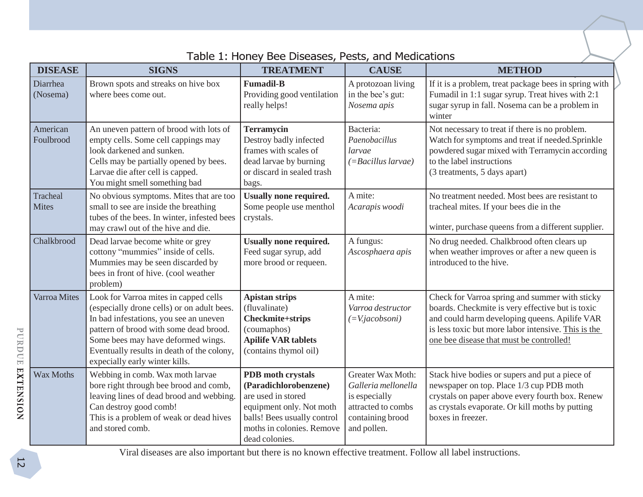| <b>DISEASE</b>           | <b>SIGNS</b>                                                                                                                                                                                                                                                                                  | <b>TREATMENT</b>                                                                                                                                                           | <b>CAUSE</b>                                                                                                       | <b>METHOD</b>                                                                                                                                                                                                                                          |
|--------------------------|-----------------------------------------------------------------------------------------------------------------------------------------------------------------------------------------------------------------------------------------------------------------------------------------------|----------------------------------------------------------------------------------------------------------------------------------------------------------------------------|--------------------------------------------------------------------------------------------------------------------|--------------------------------------------------------------------------------------------------------------------------------------------------------------------------------------------------------------------------------------------------------|
| Diarrhea<br>(Nosema)     | Brown spots and streaks on hive box<br>where bees come out.                                                                                                                                                                                                                                   | <b>Fumadil-B</b><br>Providing good ventilation<br>really helps!                                                                                                            | A protozoan living<br>in the bee's gut:<br>Nosema apis                                                             | If it is a problem, treat package bees in spring with<br>Fumadil in 1:1 sugar syrup. Treat hives with 2:1<br>sugar syrup in fall. Nosema can be a problem in<br>winter                                                                                 |
| American<br>Foulbrood    | An uneven pattern of brood with lots of<br>empty cells. Some cell cappings may<br>look darkened and sunken.<br>Cells may be partially opened by bees.<br>Larvae die after cell is capped.<br>You might smell something bad                                                                    | <b>Terramycin</b><br>Destroy badly infected<br>frames with scales of<br>dead larvae by burning<br>or discard in sealed trash<br>bags.                                      | Bacteria:<br>Paenobacillus<br>larvae<br>$( = Bacillus \, larvae)$                                                  | Not necessary to treat if there is no problem.<br>Watch for symptoms and treat if needed. Sprinkle<br>powdered sugar mixed with Terramycin according<br>to the label instructions<br>(3 treatments, 5 days apart)                                      |
| Tracheal<br><b>Mites</b> | No obvious symptoms. Mites that are too<br>small to see are inside the breathing<br>tubes of the bees. In winter, infested bees<br>may crawl out of the hive and die.                                                                                                                         | <b>Usually none required.</b><br>Some people use menthol<br>crystals.                                                                                                      | A mite:<br>Acarapis woodi                                                                                          | No treatment needed. Most bees are resistant to<br>tracheal mites. If your bees die in the<br>winter, purchase queens from a different supplier.                                                                                                       |
| Chalkbrood               | Dead larvae become white or grey<br>cottony "mummies" inside of cells.<br>Mummies may be seen discarded by<br>bees in front of hive. (cool weather<br>problem)                                                                                                                                | Usually none required.<br>Feed sugar syrup, add<br>more brood or requeen.                                                                                                  | A fungus:<br>Ascosphaera apis                                                                                      | No drug needed. Chalkbrood often clears up<br>when weather improves or after a new queen is<br>introduced to the hive.                                                                                                                                 |
| Varroa Mites             | Look for Varroa mites in capped cells<br>(especially drone cells) or on adult bees.<br>In bad infestations, you see an uneven<br>pattern of brood with some dead brood.<br>Some bees may have deformed wings.<br>Eventually results in death of the colony,<br>expecially early winter kills. | <b>Apistan strips</b><br>(fluvalinate)<br>Checkmite+strips<br>(coumaphos)<br><b>Apilife VAR tablets</b><br>(contains thymol oil)                                           | A mite:<br>Varroa destructor<br>$(=V,jacobsoni)$                                                                   | Check for Varroa spring and summer with sticky<br>boards. Checkmite is very effective but is toxic<br>and could harm developing queens. Apilife VAR<br>is less toxic but more labor intensive. This is the<br>one bee disease that must be controlled! |
| Wax Moths                | Webbing in comb. Wax moth larvae<br>bore right through bee brood and comb,<br>leaving lines of dead brood and webbing.<br>Can destroy good comb!<br>This is a problem of weak or dead hives<br>and stored comb.                                                                               | PDB moth crystals<br>(Paradichlorobenzene)<br>are used in stored<br>equipment only. Not moth<br>balls! Bees usually control<br>moths in colonies. Remove<br>dead colonies. | Greater Wax Moth:<br>Galleria mellonella<br>is especially<br>attracted to combs<br>containing brood<br>and pollen. | Stack hive bodies or supers and put a piece of<br>newspaper on top. Place 1/3 cup PDB moth<br>crystals on paper above every fourth box. Renew<br>as crystals evaporate. Or kill moths by putting<br>boxes in freezer.                                  |

## Table 1: Honey Bee Diseases, Pests, and Medications

Viral diseases are also important but there is no known effective treatment. Follow all label instructions.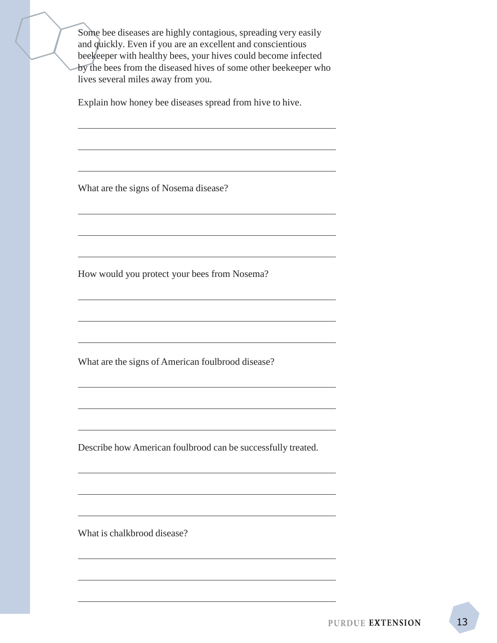Some bee diseases are highly contagious, spreading very easily and quickly. Even if you are an excellent and conscientious beekeeper with healthy bees, your hives could become infected by the bees from the diseased hives of some other beekeeper who lives several miles away from you.

Explain how honey bee diseases spread from hive to hive.

What are the signs of Nosema disease?

How would you protect your bees from Nosema?

What are the signs of American foulbrood disease?

Describe how American foulbrood can be successfully treated.

What is chalkbrood disease?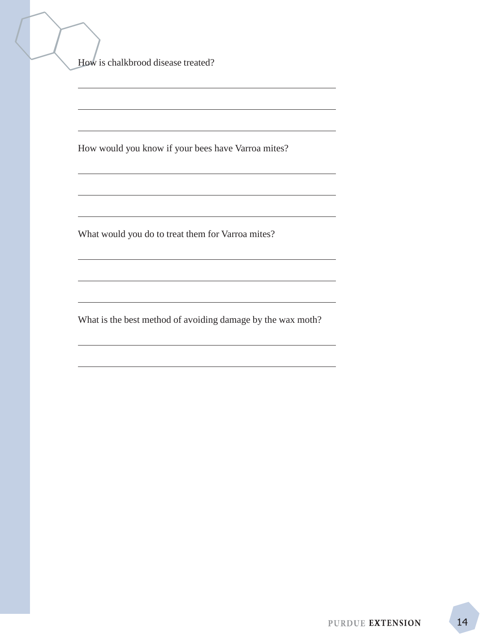How is chalkbrood disease treated?

How would you know if your bees have Varroa mites?

What would you do to treat them for Varroa mites?

What is the best method of avoiding damage by the wax moth?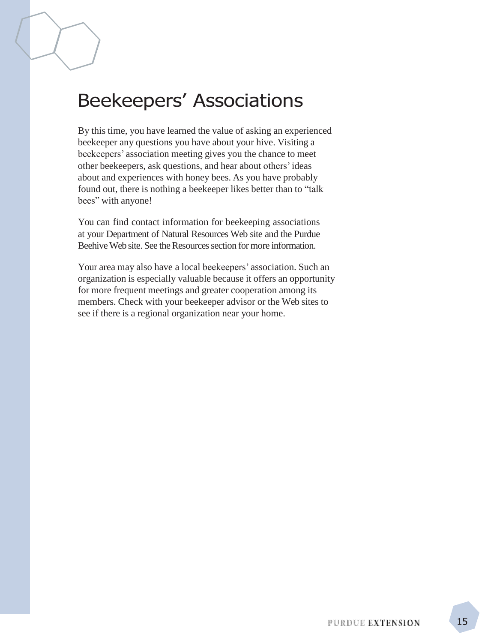## <span id="page-14-0"></span>Beekeepers' Associations

By this time, you have learned the value of asking an experienced beekeeper any questions you have about your hive. Visiting a beekeepers' association meeting gives you the chance to meet other beekeepers, ask questions, and hear about others'ideas about and experiences with honey bees. As you have probably found out, there is nothing a beekeeper likes better than to "talk bees" with anyone!

You can find contact information for beekeeping associations at your Department of Natural Resources Web site and the Purdue Beehive Web site. See the Resources section for more information.

Your area may also have a local beekeepers' association. Such an organization is especially valuable because it offers an opportunity for more frequent meetings and greater cooperation among its members. Check with your beekeeper advisor or the Web sites to see if there is a regional organization near your home.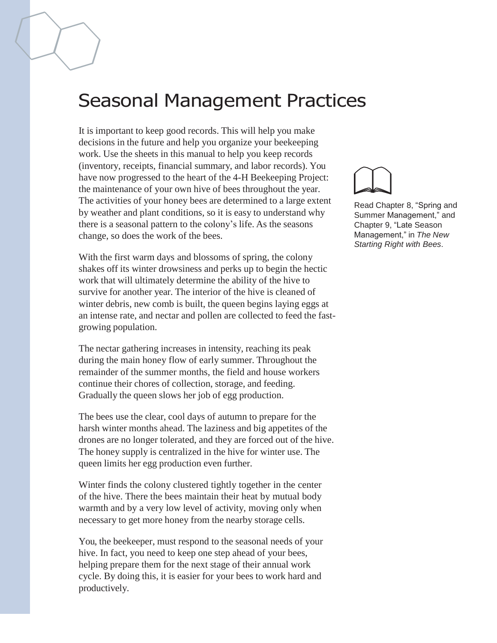## <span id="page-15-0"></span>Seasonal Management Practices

It is important to keep good records. This will help you make decisions in the future and help you organize your beekeeping work. Use the sheets in this manual to help you keep records (inventory, receipts, financial summary, and labor records). You have now progressed to the heart of the 4-H Beekeeping Project: the maintenance of your own hive of bees throughout the year. The activities of your honey bees are determined to a large extent by weather and plant conditions, so it is easy to understand why there is a seasonal pattern to the colony's life. As the seasons change, so does the work of the bees.

With the first warm days and blossoms of spring, the colony shakes off its winter drowsiness and perks up to begin the hectic work that will ultimately determine the ability of the hive to survive for another year. The interior of the hive is cleaned of winter debris, new comb is built, the queen begins laying eggs at an intense rate, and nectar and pollen are collected to feed the fastgrowing population.

The nectar gathering increases in intensity, reaching its peak during the main honey flow of early summer. Throughout the remainder of the summer months, the field and house workers continue their chores of collection, storage, and feeding. Gradually the queen slows her job of egg production.

The bees use the clear, cool days of autumn to prepare for the harsh winter months ahead. The laziness and big appetites of the drones are no longer tolerated, and they are forced out of the hive. The honey supply is centralized in the hive for winter use. The queen limits her egg production even further.

Winter finds the colony clustered tightly together in the center of the hive. There the bees maintain their heat by mutual body warmth and by a very low level of activity, moving only when necessary to get more honey from the nearby storage cells.

You, the beekeeper, must respond to the seasonal needs of your hive. In fact, you need to keep one step ahead of your bees, helping prepare them for the next stage of their annual work cycle. By doing this, it is easier for your bees to work hard and productively.



Read Chapter 8, "Spring and Summer Management," and Chapter 9, "Late Season Management," in *The New Starting Right with Bees*.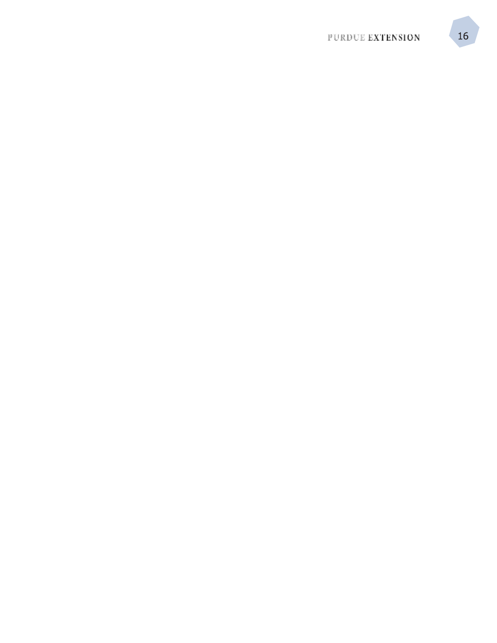### PURDUE EXTENSION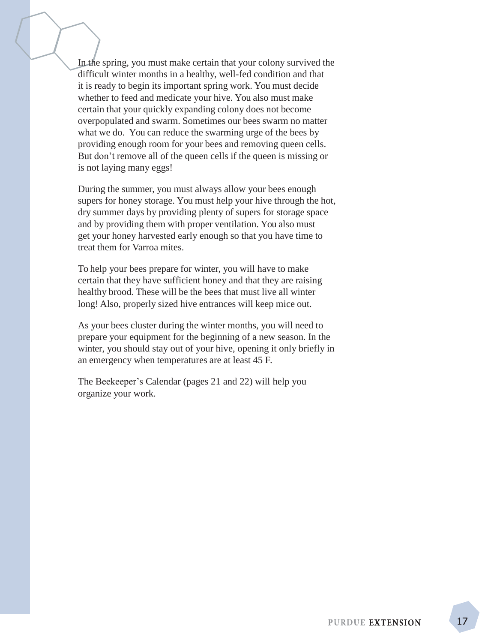In the spring, you must make certain that your colony survived the difficult winter months in a healthy, well-fed condition and that it is ready to begin its important spring work. You must decide whether to feed and medicate your hive. You also must make certain that your quickly expanding colony does not become overpopulated and swarm. Sometimes our bees swarm no matter what we do. You can reduce the swarming urge of the bees by providing enough room for your bees and removing queen cells. But don't remove all of the queen cells if the queen is missing or is not laying many eggs!

During the summer, you must always allow your bees enough supers for honey storage. You must help your hive through the hot, dry summer days by providing plenty of supers for storage space and by providing them with proper ventilation. You also must get your honey harvested early enough so that you have time to treat them for Varroa mites.

To help your bees prepare for winter, you will have to make certain that they have sufficient honey and that they are raising healthy brood. These will be the bees that must live all winter long! Also, properly sized hive entrances will keep mice out.

As your bees cluster during the winter months, you will need to prepare your equipment for the beginning of a new season. In the winter, you should stay out of your hive, opening it only briefly in an emergency when temperatures are at least 45 F.

The Beekeeper's Calendar (pages 21 and 22) will help you organize your work.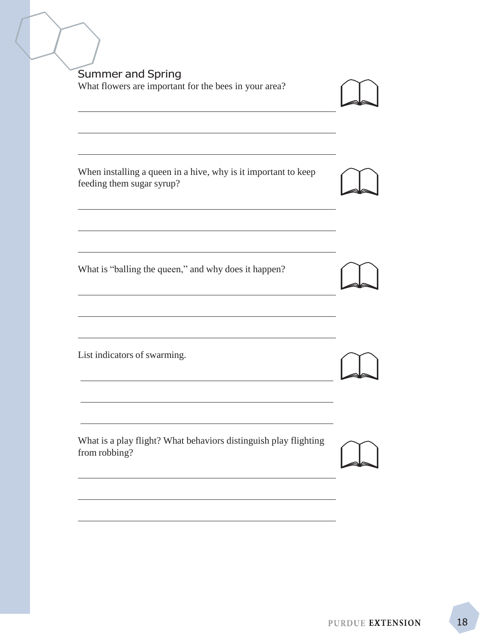Summer and Spring What flowers are important for the bees in your area?



When installing a queen in a hive, why is it important to keep feeding them sugar syrup?

What is "balling the queen," and why does it happen?

List indicators of swarming.

What is a play flight? What behaviors distinguish play flighting from robbing?

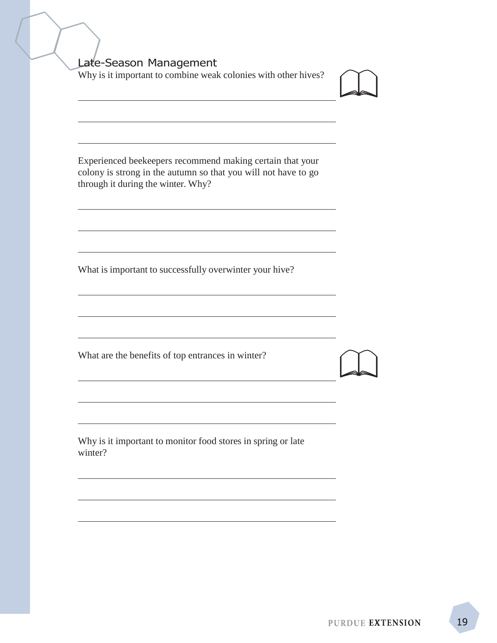### Late-Season Management

Why is it important to combine weak colonies with other hives?

Experienced beekeepers recommend making certain that your colony is strong in the autumn so that you will not have to go through it during the winter. Why?

What is important to successfully overwinter your hive?

What are the benefits of top entrances in winter?

Why is it important to monitor food stores in spring or late winter?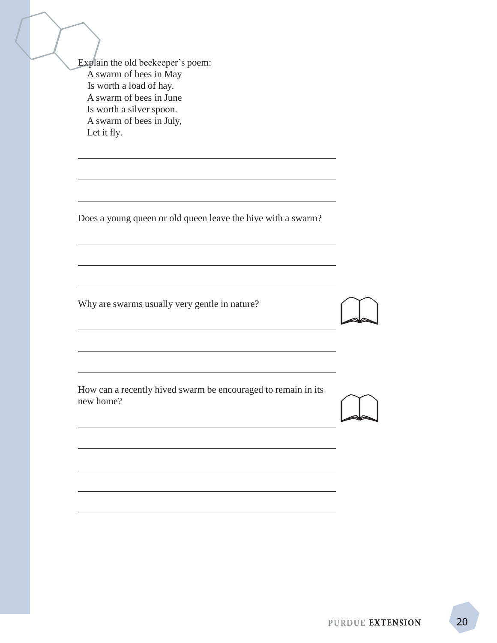Explain the old beekeeper's poem: A swarm of bees in May Is worth a load of hay. A swarm of bees in June Is worth a silver spoon. A swarm of bees in July, Let it fly.

Does a young queen or old queen leave the hive with a swarm?

Why are swarms usually very gentle in nature?



How can a recently hived swarm be encouraged to remain in its new home?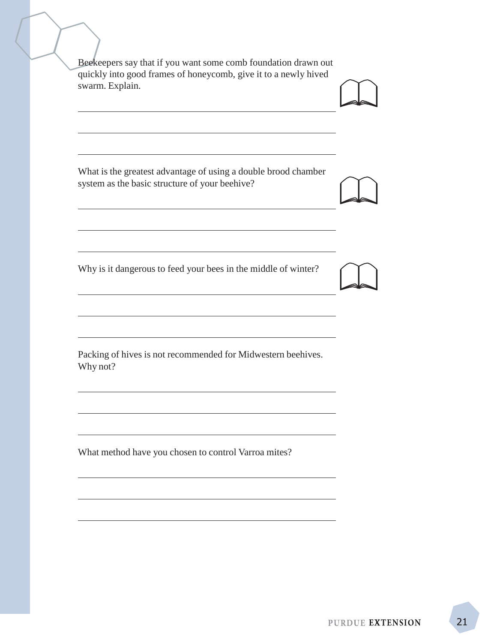Beekeepers say that if you want some comb foundation drawn out quickly into good frames of honeycomb, give it to a newly hived swarm. Explain.



What is the greatest advantage of using a double brood chamber system as the basic structure of your beehive?

Why is it dangerous to feed your bees in the middle of winter?

Packing of hives is not recommended for Midwestern beehives. Why not?

What method have you chosen to control Varroa mites?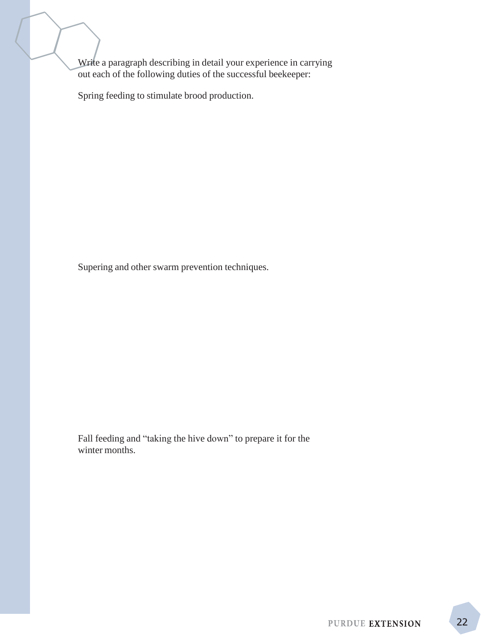Write a paragraph describing in detail your experience in carrying out each of the following duties of the successful beekeeper:

Spring feeding to stimulate brood production.

Supering and other swarm prevention techniques.

Fall feeding and "taking the hive down" to prepare it for the winter months.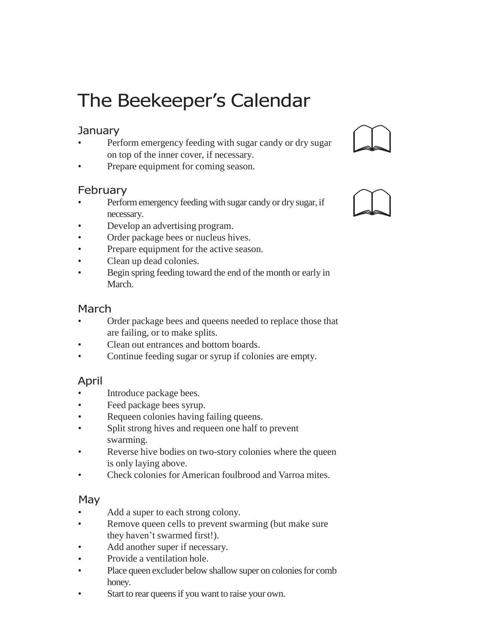## <span id="page-23-0"></span>The Beekeeper's Calendar

## **January**

- Perform emergency feeding with sugar candy or dry sugar on top of the inner cover, if necessary.
- Prepare equipment for coming season.

## February

- Perform emergency feeding with sugar candy or dry sugar, if necessary.
- Develop an advertising program.
- Order package bees or nucleus hives.
- Prepare equipment for the active season.
- Clean up dead colonies.
- Begin spring feeding toward the end of the month or early in March.

## March

- Order package bees and queens needed to replace those that are failing, or to make splits.
- Clean out entrances and bottom boards.
- Continue feeding sugar or syrup if colonies are empty.

## April

- Introduce package bees.
- Feed package bees syrup.
- Requeen colonies having failing queens.
- Split strong hives and requeen one half to prevent swarming.
- Reverse hive bodies on two-story colonies where the queen is only laying above.
- Check colonies for American foulbrood and Varroa mites.

### May

- Add a super to each strong colony.
- Remove queen cells to prevent swarming (but make sure they haven't swarmed first!).
- Add another super if necessary.
- Provide a ventilation hole.
- Place queen excluder below shallow super on colonies for comb honey.
- Start to rear queens if you want to raise your own.



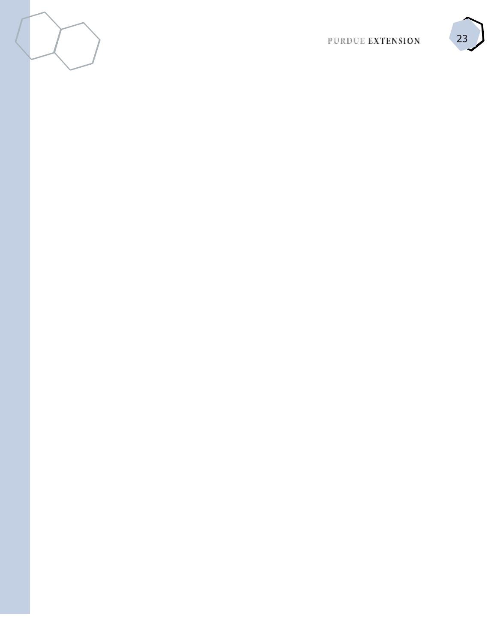

PURDUE EXTENSION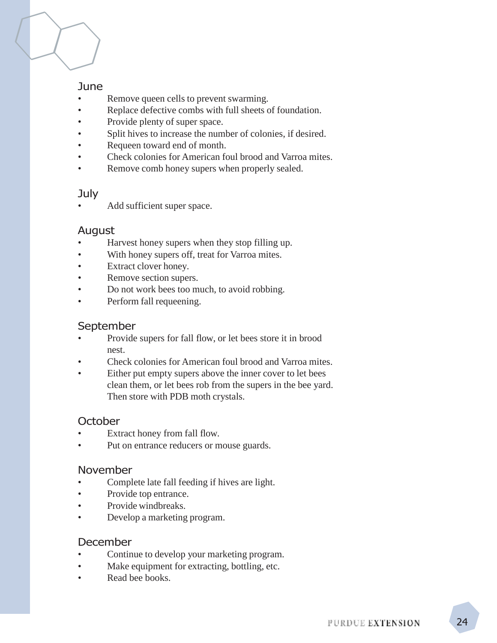### June

- Remove queen cells to prevent swarming.
- Replace defective combs with full sheets of foundation.
- Provide plenty of super space.
- Split hives to increase the number of colonies, if desired.
- Requeen toward end of month.
- Check colonies for American foul brood and Varroa mites.
- Remove comb honey supers when properly sealed.

#### July

Add sufficient super space.

#### August

- Harvest honey supers when they stop filling up.
- With honey supers off, treat for Varroa mites.
- Extract clover honey.
- Remove section supers.
- Do not work bees too much, to avoid robbing.
- Perform fall requeening.

#### September

- Provide supers for fall flow, or let bees store it in brood nest.
- Check colonies for American foul brood and Varroa mites.
- Either put empty supers above the inner cover to let bees clean them, or let bees rob from the supers in the bee yard. Then store with PDB moth crystals.

#### **October**

- Extract honey from fall flow.
- Put on entrance reducers or mouse guards.

#### November

- Complete late fall feeding if hives are light.
- Provide top entrance.
- Provide windbreaks.
- Develop a marketing program.

#### December

- Continue to develop your marketing program.
- Make equipment for extracting, bottling, etc.
- Read bee books.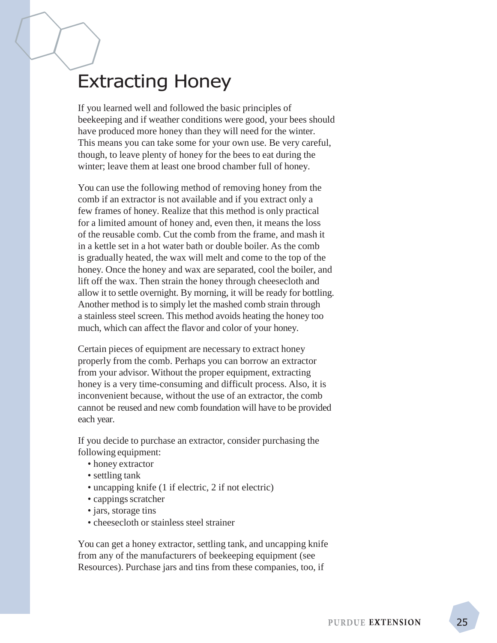## <span id="page-26-0"></span>Extracting Honey

If you learned well and followed the basic principles of beekeeping and if weather conditions were good, your bees should have produced more honey than they will need for the winter. This means you can take some for your own use. Be very careful, though, to leave plenty of honey for the bees to eat during the winter; leave them at least one brood chamber full of honey.

You can use the following method of removing honey from the comb if an extractor is not available and if you extract only a few frames of honey. Realize that this method is only practical for a limited amount of honey and, even then, it means the loss of the reusable comb. Cut the comb from the frame, and mash it in a kettle set in a hot water bath or double boiler. As the comb is gradually heated, the wax will melt and come to the top of the honey. Once the honey and wax are separated, cool the boiler, and lift off the wax. Then strain the honey through cheesecloth and allow it to settle overnight. By morning, it will be ready for bottling. Another method is to simply let the mashed comb strain through a stainless steel screen. This method avoids heating the honey too much, which can affect the flavor and color of your honey.

Certain pieces of equipment are necessary to extract honey properly from the comb. Perhaps you can borrow an extractor from your advisor. Without the proper equipment, extracting honey is a very time-consuming and difficult process. Also, it is inconvenient because, without the use of an extractor, the comb cannot be reused and new comb foundation will have to be provided each year.

If you decide to purchase an extractor, consider purchasing the following equipment:

- honey extractor
- settling tank
- uncapping knife (1 if electric, 2 if not electric)
- cappings scratcher
- jars, storage tins
- cheesecloth or stainless steel strainer

You can get a honey extractor, settling tank, and uncapping knife from any of the manufacturers of beekeeping equipment (see Resources). Purchase jars and tins from these companies, too, if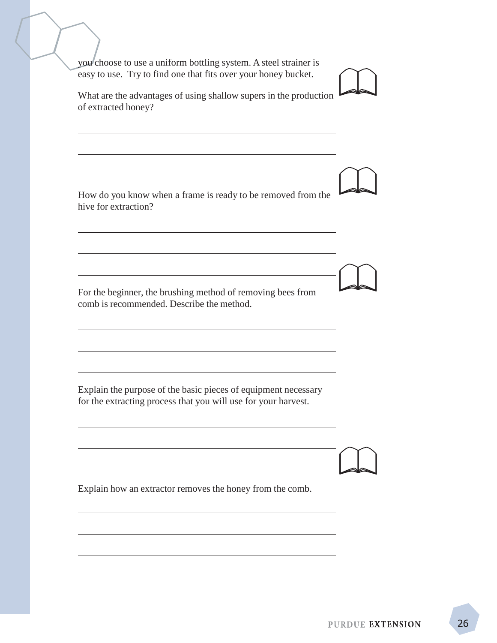you choose to use a uniform bottling system. A steel strainer is easy to use. Try to find one that fits over your honey bucket.



What are the advantages of using shallow supers in the production of extracted honey?

How do you know when a frame is ready to be removed from the hive for extraction?

For the beginner, the brushing method of removing bees from comb is recommended. Describe the method.

Explain the purpose of the basic pieces of equipment necessary for the extracting process that you will use for your harvest.

Explain how an extractor removes the honey from the comb.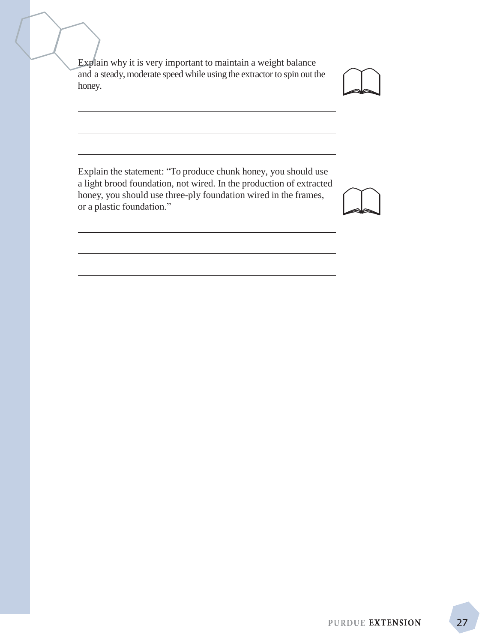Explain why it is very important to maintain a weight balance and a steady, moderate speed while using the extractor to spin out the honey.

Explain the statement: "To produce chunk honey, you should use a light brood foundation, not wired. In the production of extracted honey, you should use three-ply foundation wired in the frames, or a plastic foundation."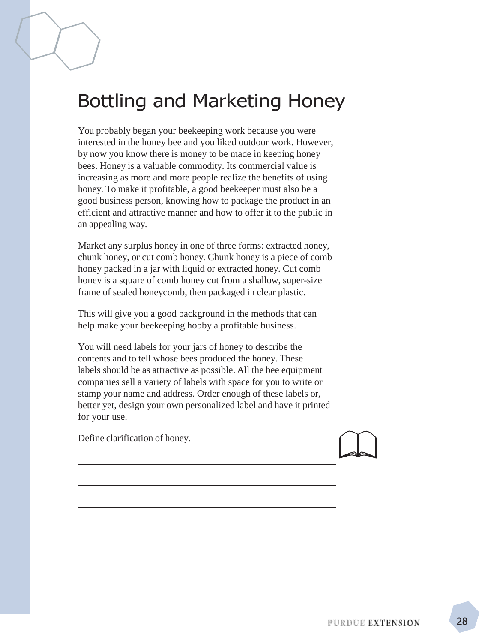## <span id="page-29-0"></span>Bottling and Marketing Honey

You probably began your beekeeping work because you were interested in the honey bee and you liked outdoor work. However, by now you know there is money to be made in keeping honey bees. Honey is a valuable commodity. Its commercial value is increasing as more and more people realize the benefits of using honey. To make it profitable, a good beekeeper must also be a good business person, knowing how to package the product in an efficient and attractive manner and how to offer it to the public in an appealing way.

Market any surplus honey in one of three forms: extracted honey, chunk honey, or cut comb honey. Chunk honey is a piece of comb honey packed in a jar with liquid or extracted honey. Cut comb honey is a square of comb honey cut from a shallow, super-size frame of sealed honeycomb, then packaged in clear plastic.

This will give you a good background in the methods that can help make your beekeeping hobby a profitable business.

You will need labels for your jars of honey to describe the contents and to tell whose bees produced the honey. These labels should be as attractive as possible. All the bee equipment companies sell a variety of labels with space for you to write or stamp your name and address. Order enough of these labels or, better yet, design your own personalized label and have it printed for your use.

Define clarification of honey.

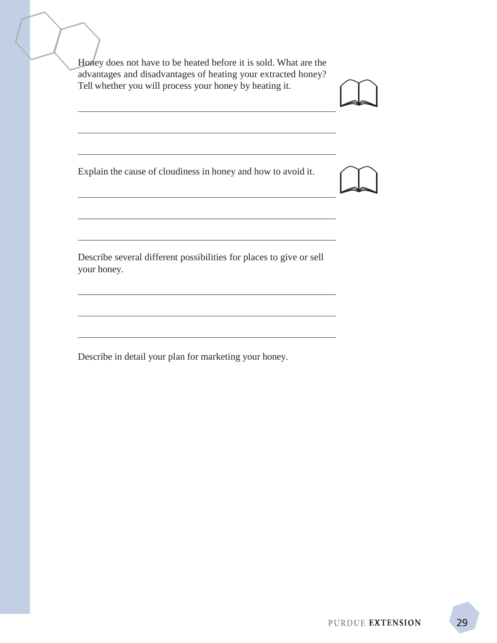Honey does not have to be heated before it is sold. What are the advantages and disadvantages of heating your extracted honey? Tell whether you will process your honey by heating it.

Explain the cause of cloudiness in honey and how to avoid it.



Describe several different possibilities for places to give or sell your honey.

Describe in detail your plan for marketing your honey.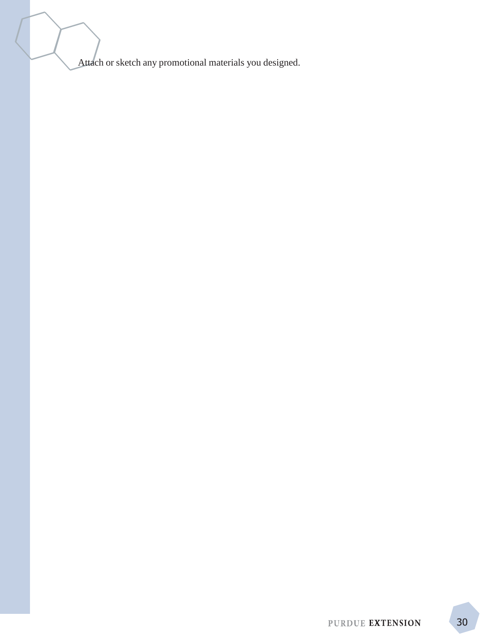Attach or sketch any promotional materials you designed.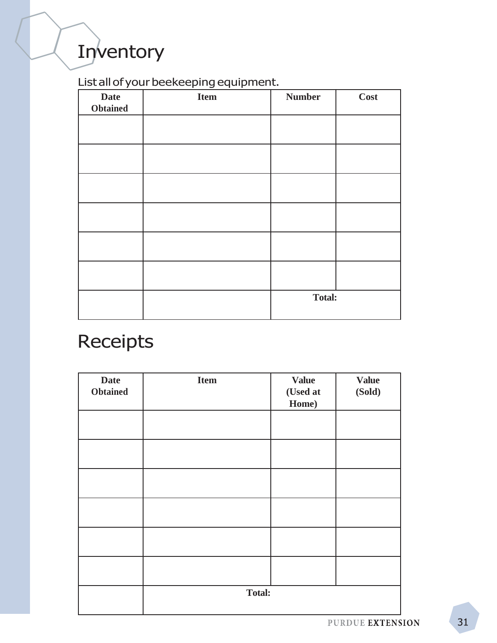# **Inventory**

## List all of your beekeeping equipment.

| <b>Date</b>     | <b>Item</b> | <b>Number</b> | <b>Cost</b> |
|-----------------|-------------|---------------|-------------|
| <b>Obtained</b> |             |               |             |
|                 |             |               |             |
|                 |             |               |             |
|                 |             |               |             |
|                 |             |               |             |
|                 |             |               |             |
|                 |             |               |             |
|                 |             |               |             |
|                 |             |               |             |
|                 |             |               |             |
|                 |             |               |             |
|                 |             |               |             |
|                 |             |               |             |
|                 |             | <b>Total:</b> |             |
|                 |             |               |             |

## Receipts

| <b>Date</b><br><b>Obtained</b> | <b>Item</b>   | <b>Value</b><br>(Used at<br>Home) | <b>Value</b><br>(Sold) |
|--------------------------------|---------------|-----------------------------------|------------------------|
|                                |               |                                   |                        |
|                                |               |                                   |                        |
|                                |               |                                   |                        |
|                                |               |                                   |                        |
|                                |               |                                   |                        |
|                                |               |                                   |                        |
|                                | <b>Total:</b> |                                   |                        |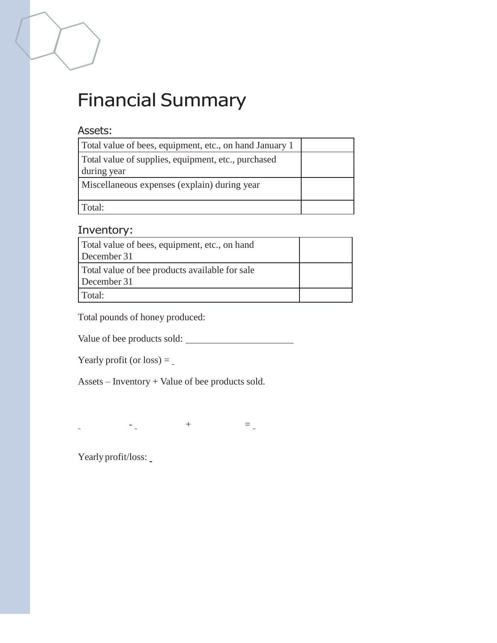## Financial Summary

### Assets:

| Total value of bees, equipment, etc., on hand January 1 |  |
|---------------------------------------------------------|--|
| Total value of supplies, equipment, etc., purchased     |  |
| during year                                             |  |
| Miscellaneous expenses (explain) during year            |  |
|                                                         |  |
| Total:                                                  |  |

### Inventory:

| Total value of bees, equipment, etc., on hand<br>December 31 |  |
|--------------------------------------------------------------|--|
|                                                              |  |
| Total value of bee products available for sale               |  |
| December 31                                                  |  |
| Total:                                                       |  |

Total pounds of honey produced:

Value of bee products sold:

Yearly profit (or loss)  $=$   $\overline{\phantom{a}}$ 

Assets – Inventory + Value of bee products sold.

 $+$   $-$ 

Yearly profit/loss: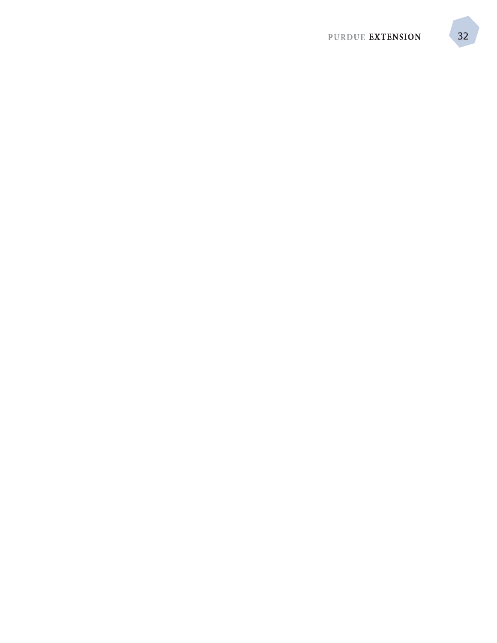#### PURDUE EXTENSION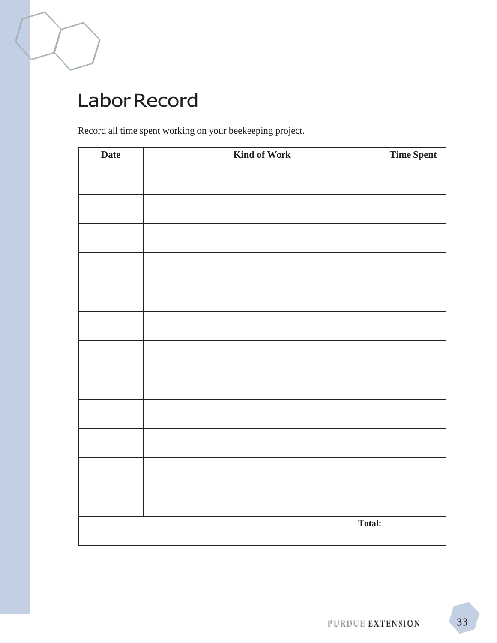

## Labor Record

Record all time spent working on your beekeeping project.

| <b>Date</b> | <b>Kind of Work</b> | <b>Time Spent</b> |
|-------------|---------------------|-------------------|
|             |                     |                   |
|             |                     |                   |
|             |                     |                   |
|             |                     |                   |
|             |                     |                   |
|             |                     |                   |
|             |                     |                   |
|             |                     |                   |
|             |                     |                   |
|             |                     |                   |
|             |                     |                   |
|             |                     |                   |
|             |                     |                   |
|             | <b>Total:</b>       |                   |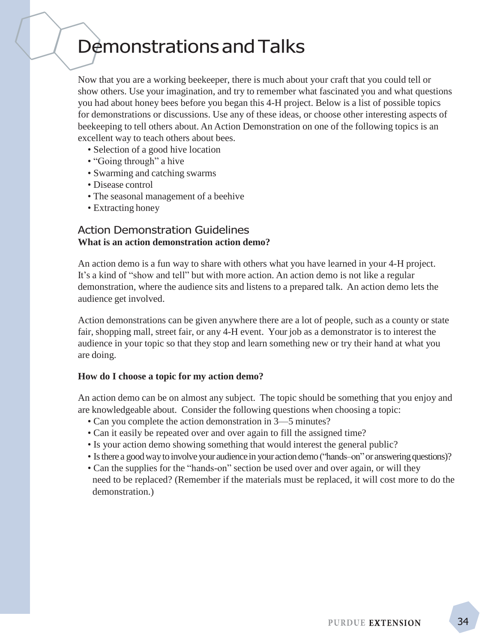## <span id="page-36-0"></span>DemonstrationsandTalks

Now that you are a working beekeeper, there is much about your craft that you could tell or show others. Use your imagination, and try to remember what fascinated you and what questions you had about honey bees before you began this 4-H project. Below is a list of possible topics for demonstrations or discussions. Use any of these ideas, or choose other interesting aspects of beekeeping to tell others about. An Action Demonstration on one of the following topics is an excellent way to teach others about bees.

- Selection of a good hive location
- "Going through" a hive
- Swarming and catching swarms
- Disease control
- The seasonal management of a beehive
- Extracting honey

### Action Demonstration Guidelines **What is an action demonstration action demo?**

An action demo is a fun way to share with others what you have learned in your 4-H project. It's a kind of "show and tell" but with more action. An action demo is not like a regular demonstration, where the audience sits and listens to a prepared talk. An action demo lets the audience get involved.

Action demonstrations can be given anywhere there are a lot of people, such as a county or state fair, shopping mall, street fair, or any 4-H event. Your job as a demonstrator is to interest the audience in your topic so that they stop and learn something new or try their hand at what you are doing.

#### **How do I choose a topic for my action demo?**

An action demo can be on almost any subject. The topic should be something that you enjoy and are knowledgeable about. Consider the following questions when choosing a topic:

- Can you complete the action demonstration in 3—5 minutes?
- Can it easily be repeated over and over again to fill the assigned time?
- Is your action demo showing something that would interest the general public?
- Is there a good way to involve your audience in your action demo ("hands–on" or answering questions)?
- Can the supplies for the "hands-on" section be used over and over again, or will they need to be replaced? (Remember if the materials must be replaced, it will cost more to do the demonstration.)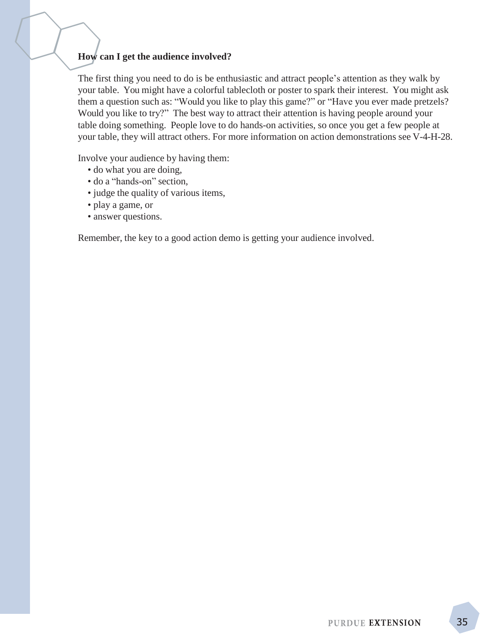#### **How can I get the audience involved?**

The first thing you need to do is be enthusiastic and attract people's attention as they walk by your table. You might have a colorful tablecloth or poster to spark their interest. You might ask them a question such as: "Would you like to play this game?" or "Have you ever made pretzels? Would you like to try?" The best way to attract their attention is having people around your table doing something. People love to do hands-on activities, so once you get a few people at your table, they will attract others. For more information on action demonstrations see V-4-H-28.

Involve your audience by having them:

- do what you are doing,
- do a "hands-on" section,
- judge the quality of various items,
- play a game, or
- answer questions.

Remember, the key to a good action demo is getting your audience involved.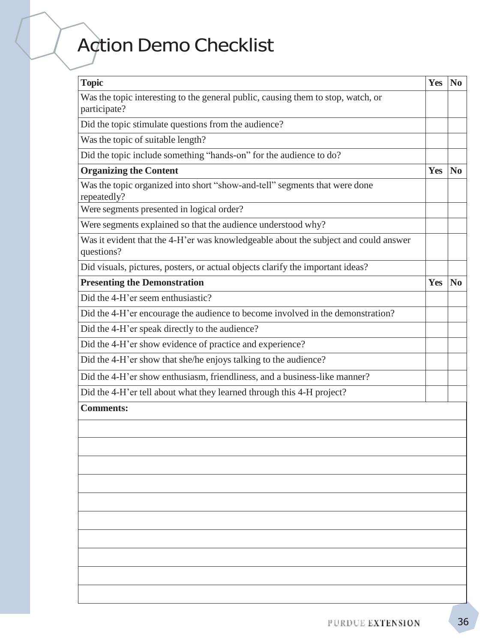# Action Demo Checklist

| <b>Topic</b>                                                                                      | Yes | N <sub>0</sub> |
|---------------------------------------------------------------------------------------------------|-----|----------------|
| Was the topic interesting to the general public, causing them to stop, watch, or<br>participate?  |     |                |
| Did the topic stimulate questions from the audience?                                              |     |                |
| Was the topic of suitable length?                                                                 |     |                |
| Did the topic include something "hands-on" for the audience to do?                                |     |                |
| <b>Organizing the Content</b>                                                                     | Yes | $\bf No$       |
| Was the topic organized into short "show-and-tell" segments that were done<br>repeatedly?         |     |                |
| Were segments presented in logical order?                                                         |     |                |
| Were segments explained so that the audience understood why?                                      |     |                |
| Was it evident that the 4-H'er was knowledgeable about the subject and could answer<br>questions? |     |                |
| Did visuals, pictures, posters, or actual objects clarify the important ideas?                    |     |                |
| <b>Presenting the Demonstration</b>                                                               | Yes | N <sub>0</sub> |
| Did the 4-H'er seem enthusiastic?                                                                 |     |                |
| Did the 4-H'er encourage the audience to become involved in the demonstration?                    |     |                |
| Did the 4-H'er speak directly to the audience?                                                    |     |                |
| Did the 4-H'er show evidence of practice and experience?                                          |     |                |
| Did the 4-H'er show that she/he enjoys talking to the audience?                                   |     |                |
| Did the 4-H'er show enthusiasm, friendliness, and a business-like manner?                         |     |                |
| Did the 4-H'er tell about what they learned through this 4-H project?                             |     |                |
| <b>Comments:</b>                                                                                  |     |                |
|                                                                                                   |     |                |
|                                                                                                   |     |                |
|                                                                                                   |     |                |
|                                                                                                   |     |                |
|                                                                                                   |     |                |
|                                                                                                   |     |                |
|                                                                                                   |     |                |
|                                                                                                   |     |                |
|                                                                                                   |     |                |
|                                                                                                   |     |                |
|                                                                                                   |     |                |
|                                                                                                   |     |                |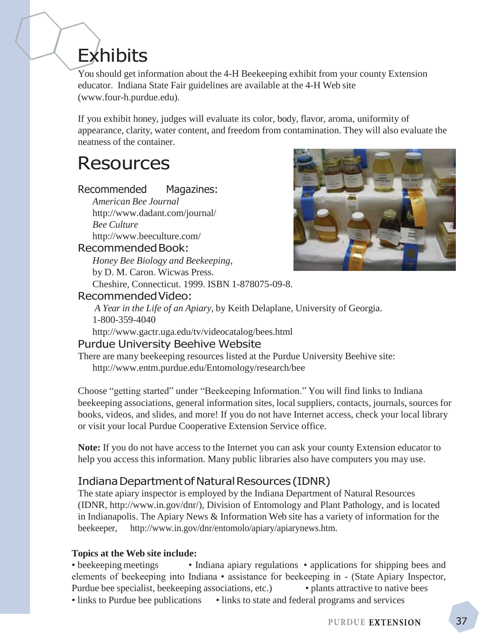# <span id="page-39-0"></span>**Exhibits**

You should get information about the 4-H Beekeeping exhibit from your county Extension educator. Indiana State Fair guidelines are available at the 4-H Web site (www.four-h.purdue.edu).

If you exhibit honey, judges will evaluate its color, body, flavor, aroma, uniformity of appearance, clarity, water content, and freedom from contamination. They will also evaluate the neatness of the container.

## <span id="page-39-1"></span>Resources

### Recommended Magazines:

*American Bee Journal* [http://www.dadant.com/journal/](http://www.dadant.com/journal) *Bee Culture*

<http://www.beeculture.com/>

## Recommended Book:

*Honey Bee Biology and Beekeeping*, by D. M. Caron. Wicwas Press. Cheshire, Connecticut. 1999. ISBN 1-878075-09-8.

## RecommendedVideo:

*A Year in the Life of an Apiary,* by Keith Delaplane, University of Georgia. 1-800-359-4040

<http://www.gactr.uga.edu/tv/videocatalog/bees.html>

### Purdue University Beehive Website

There are many beekeeping resources listed at the Purdue University Beehive site: <http://www.entm.purdue.edu/Entomology/research/bee>

Choose "getting started" under "Beekeeping Information." You will find links to Indiana beekeeping associations, general information sites, local suppliers, contacts, journals, sources for books, videos, and slides, and more! If you do not have Internet access, check your local library or visit your local Purdue Cooperative Extension Service office.

**Note:** If you do not have access to the Internet you can ask your county Extension educator to help you access this information. Many public libraries also have computers you may use.

## Indiana Department of Natural Resources (IDNR)

The state apiary inspector is employed by the Indiana Department of Natural Resources [\(IDNR, http://www.in.gov/dnr/\),](http://www.in.gov/dnr) Division of Entomology and Plant Pathology, and is located in Indianapolis. The Apiary News & Information Web site has a variety of information for the beekeeper, [http://www.in.gov/dnr/entomolo/apiary/apiarynews.htm.](http://www.in.gov/dnr/entomolo/apiary/apiarynews.htm)

### **Topics at the Web site include:**

• beekeeping meetings • Indiana apiary regulations • applications for shipping bees and elements of beekeeping into Indiana • assistance for beekeeping in - (State Apiary Inspector, Purdue bee specialist, beekeeping associations, etc.) • plants attractive to native bees

• links to Purdue bee publications • links to state and federal programs and services

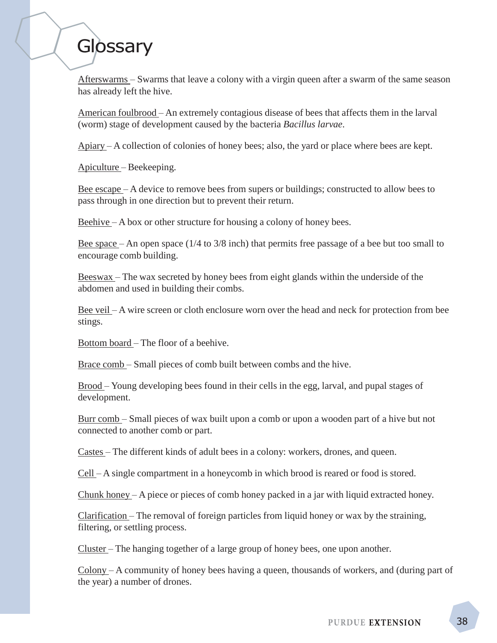## <span id="page-40-0"></span>**Glossary**

Afterswarms – Swarms that leave a colony with a virgin queen after a swarm of the same season has already left the hive.

American foulbrood – An extremely contagious disease of bees that affects them in the larval (worm) stage of development caused by the bacteria *Bacillus larvae*.

Apiary – A collection of colonies of honey bees; also, the yard or place where bees are kept.

Apiculture – Beekeeping.

Bee escape – A device to remove bees from supers or buildings; constructed to allow bees to pass through in one direction but to prevent their return.

Beehive – A box or other structure for housing a colony of honey bees.

Bee space – An open space (1/4 to 3/8 inch) that permits free passage of a bee but too small to encourage comb building.

Beeswax – The wax secreted by honey bees from eight glands within the underside of the abdomen and used in building their combs.

Bee veil – A wire screen or cloth enclosure worn over the head and neck for protection from bee stings.

Bottom board – The floor of a beehive.

Brace comb – Small pieces of comb built between combs and the hive.

Brood – Young developing bees found in their cells in the egg, larval, and pupal stages of development.

Burr comb – Small pieces of wax built upon a comb or upon a wooden part of a hive but not connected to another comb or part.

Castes – The different kinds of adult bees in a colony: workers, drones, and queen.

Cell – A single compartment in a honeycomb in which brood is reared or food is stored.

Chunk honey – A piece or pieces of comb honey packed in a jar with liquid extracted honey.

Clarification – The removal of foreign particles from liquid honey or wax by the straining, filtering, or settling process.

Cluster – The hanging together of a large group of honey bees, one upon another.

Colony – A community of honey bees having a queen, thousands of workers, and (during part of the year) a number of drones.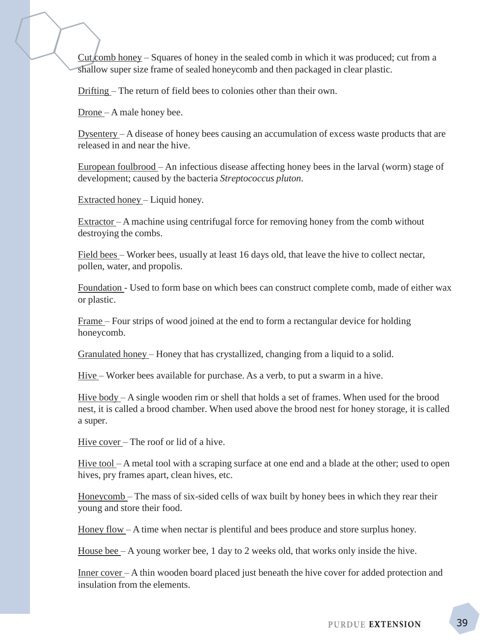$Cut$  comb honey – Squares of honey in the sealed comb in which it was produced; cut from a shallow super size frame of sealed honeycomb and then packaged in clear plastic.

Drifting – The return of field bees to colonies other than their own.

Drone – A male honey bee.

Dysentery – A disease of honey bees causing an accumulation of excess waste products that are released in and near the hive.

European foulbrood – An infectious disease affecting honey bees in the larval (worm) stage of development; caused by the bacteria *Streptococcus pluton*.

Extracted honey – Liquid honey.

Extractor – A machine using centrifugal force for removing honey from the comb without destroying the combs.

Field bees – Worker bees, usually at least 16 days old, that leave the hive to collect nectar, pollen, water, and propolis.

Foundation - Used to form base on which bees can construct complete comb, made of either wax or plastic.

Frame – Four strips of wood joined at the end to form a rectangular device for holding honeycomb.

Granulated honey – Honey that has crystallized, changing from a liquid to a solid.

Hive – Worker bees available for purchase. As a verb, to put a swarm in a hive.

Hive body – A single wooden rim or shell that holds a set of frames. When used for the brood nest, it is called a brood chamber. When used above the brood nest for honey storage, it is called a super.

Hive cover – The roof or lid of a hive.

Hive tool – A metal tool with a scraping surface at one end and a blade at the other; used to open hives, pry frames apart, clean hives, etc.

Honeycomb – The mass of six-sided cells of wax built by honey bees in which they rear their young and store their food.

Honey flow – A time when nectar is plentiful and bees produce and store surplus honey.

House bee – A young worker bee, 1 day to 2 weeks old, that works only inside the hive.

Inner cover – A thin wooden board placed just beneath the hive cover for added protection and insulation from the elements.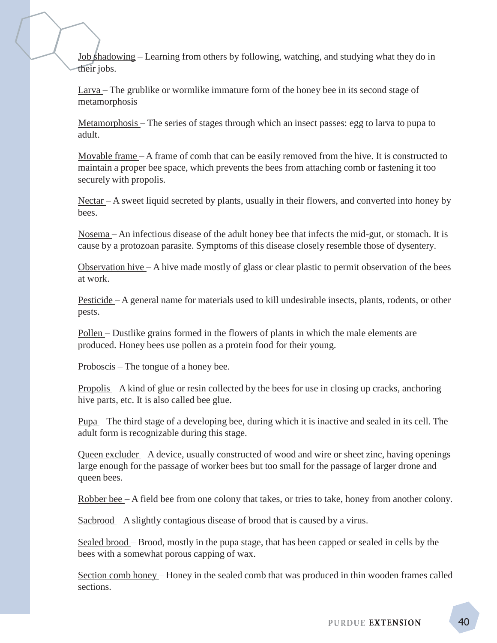Job shadowing – Learning from others by following, watching, and studying what they do in their jobs.

Larva – The grublike or wormlike immature form of the honey bee in its second stage of metamorphosis

Metamorphosis – The series of stages through which an insect passes: egg to larva to pupa to adult.

Movable frame – A frame of comb that can be easily removed from the hive. It is constructed to maintain a proper bee space, which prevents the bees from attaching comb or fastening it too securely with propolis.

Nectar – A sweet liquid secreted by plants, usually in their flowers, and converted into honey by bees.

Nosema – An infectious disease of the adult honey bee that infects the mid-gut, or stomach. It is cause by a protozoan parasite. Symptoms of this disease closely resemble those of dysentery.

Observation hive – A hive made mostly of glass or clear plastic to permit observation of the bees at work.

Pesticide – A general name for materials used to kill undesirable insects, plants, rodents, or other pests.

Pollen – Dustlike grains formed in the flowers of plants in which the male elements are produced. Honey bees use pollen as a protein food for their young.

Proboscis – The tongue of a honey bee.

Propolis – A kind of glue or resin collected by the bees for use in closing up cracks, anchoring hive parts, etc. It is also called bee glue.

 $Pupa$  – The third stage of a developing bee, during which it is inactive and sealed in its cell. The adult form is recognizable during this stage.

Queen excluder – A device, usually constructed of wood and wire or sheet zinc, having openings large enough for the passage of worker bees but too small for the passage of larger drone and queen bees.

Robber bee – A field bee from one colony that takes, or tries to take, honey from another colony.

Sacbrood – A slightly contagious disease of brood that is caused by a virus.

Sealed brood – Brood, mostly in the pupa stage, that has been capped or sealed in cells by the bees with a somewhat porous capping of wax.

Section comb honey – Honey in the sealed comb that was produced in thin wooden frames called sections.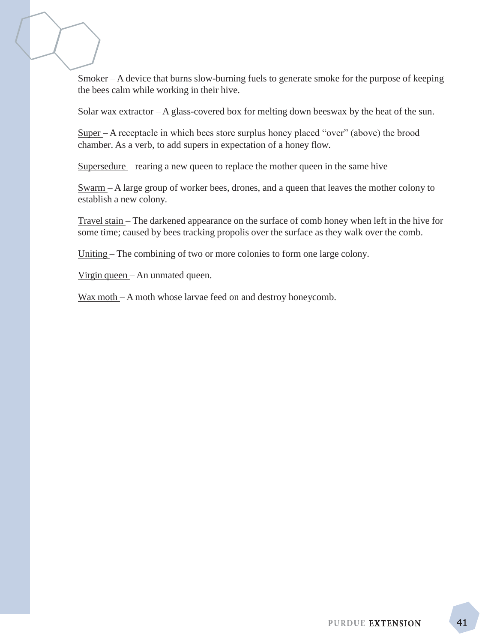Smoker – A device that burns slow-burning fuels to generate smoke for the purpose of keeping the bees calm while working in their hive.

Solar wax extractor  $-A$  glass-covered box for melting down beeswax by the heat of the sun.

Super – A receptacle in which bees store surplus honey placed "over" (above) the brood chamber. As a verb, to add supers in expectation of a honey flow.

Supersedure – rearing a new queen to replace the mother queen in the same hive

Swarm – A large group of worker bees, drones, and a queen that leaves the mother colony to establish a new colony.

Travel stain – The darkened appearance on the surface of comb honey when left in the hive for some time; caused by bees tracking propolis over the surface as they walk over the comb.

Uniting – The combining of two or more colonies to form one large colony.

Virgin queen – An unmated queen.

Wax moth – A moth whose larvae feed on and destroy honeycomb.